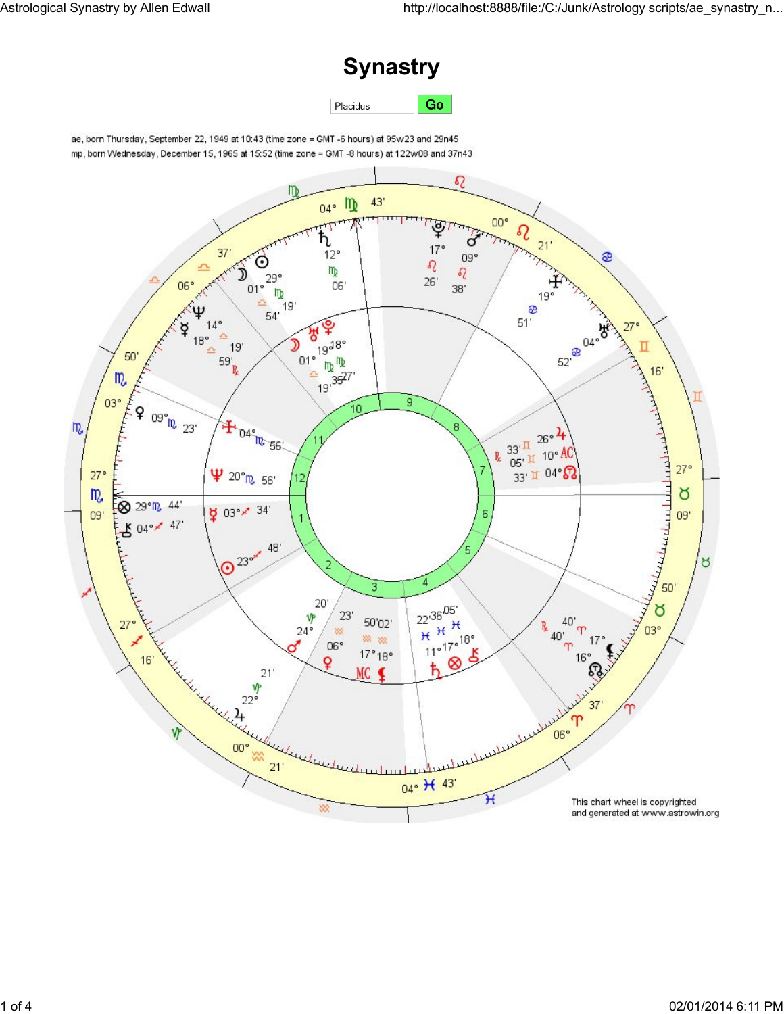## **Synastry**

Go Placidus

ae, born Thursday, September 22, 1949 at 10:43 (time zone = GMT -6 hours) at 95w23 and 29n45 mp, born Wednesday, December 15, 1965 at 15:52 (time zone = GMT -8 hours) at 122w08 and 37n43

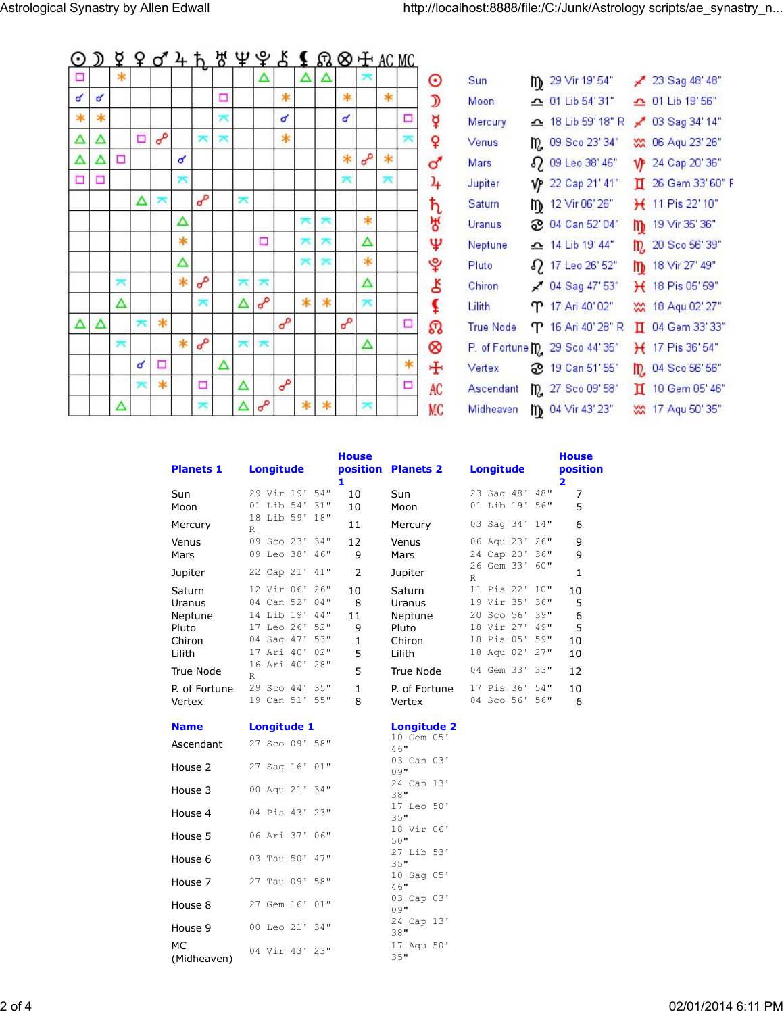## $Q$   $D$   $Q$   $Q$   $Q$   $A$   $b$   $B$   $Q$   $Q$   $E$   $E$   $Q$   $Q$   $E$   $AC$   $MC$

| □ |        | $\ast$ |                  |          |        |          |   |   | Δ        |          | Δ            | Δ      |          | ᄎ        |        |        |
|---|--------|--------|------------------|----------|--------|----------|---|---|----------|----------|--------------|--------|----------|----------|--------|--------|
| ď | ન      |        |                  |          |        |          | □ |   |          | $\ast$   |              |        | $\ast$   |          | $\ast$ |        |
| ∗ | $\ast$ |        |                  |          |        |          | ᄎ |   |          | ď        |              |        | ď        |          |        | Ξ      |
| Δ | Δ      |        | Ξ                | $\sigma$ |        | ᄎ        | ѫ |   |          | $\ast$   |              |        |          |          |        | ᄎ      |
| Δ | Δ      | □      |                  |          | ન      |          |   |   |          |          |              |        | $\ast$   | $\sigma$ | $\ast$ |        |
| Ξ | □      |        |                  |          | ᄎ      |          |   |   |          |          |              |        | ᄎ        |          | ᅎ      |        |
|   |        |        | Δ                | ᄎ        |        | L        |   | ᄎ |          |          |              |        |          |          |        |        |
|   |        |        |                  |          | Δ      |          |   |   |          |          | <del>×</del> | ᄎ      |          | $\ast$   |        |        |
|   |        |        |                  |          | ∗      |          |   |   | □        |          | ᄎ            | ᅎ      |          | Δ        |        |        |
|   |        |        |                  |          | Δ      |          |   |   |          |          | <del>۳</del> | ᄎ      |          | *        |        |        |
|   |        | ᅎ      |                  |          | $\ast$ | $\sigma$ |   | ᅎ | ᅎ        |          |              |        |          | Δ        |        |        |
|   |        | Δ      |                  |          |        | ᄎ        |   | Δ | $\sigma$ |          | $\ast$       | $\ast$ |          | ᄎ        |        |        |
| Δ | Δ      |        | ѫ                | $\ast$   |        |          |   |   |          | $\sigma$ |              |        | $\sigma$ |          |        | Ξ      |
|   |        | ѫ      |                  |          | $\ast$ | $\sigma$ |   | ѫ | ᄎ        |          |              |        |          | Δ        |        |        |
|   |        |        | ď                | □        |        |          | Δ |   |          |          |              |        |          |          |        | $\ast$ |
|   |        |        | $\overline{\pi}$ | $\ast$   |        | □        |   | Δ |          | $\sigma$ |              |        |          |          |        | Ω      |
|   |        | Δ      |                  |          |        | ᅎ        |   | Δ | $\sigma$ |          | ∗            | ∗      |          | ᄎ        |        |        |

| Sun:             |    | m <sub>29</sub> Vir 19'54"     |   | $23$ Sag 48' 48"   |
|------------------|----|--------------------------------|---|--------------------|
| Moon             |    | $\triangle$ 01 Lib 54'31"      |   | △ 01 Lib 19' 56"   |
| Mercury          |    | △ 18 Lib 59' 18" R             |   | ₹ 03 Sag 34' 14"   |
| Venus            |    | m <sub>0</sub> 09 Sco 23'34"   |   | WX 06 Aqu 23' 26"  |
| Mars             | 82 | 09 Leo 38' 46"                 |   | VP 24 Cap 20'36"   |
| Jupiter          |    | VP 22 Cap 21' 41"              |   | I 26 Gem 33' 60" F |
| Saturn           | m  | 12 Vir 06' 26"                 |   | H 11 Pis 22' 10"   |
| Uranus           |    | <b>2</b> 04 Can 52' 04"        | m | 19 Vir 35' 36"     |
| Neptune          |    | $\triangle$ 14 Lib 19' 44"     |   | m. 20 Sco 56'39"   |
| Pluto            |    | 2 17 Leo 26' 52"               | m | 18 Vir 27' 49"     |
| Chiron           |    | $\swarrow$ 04 Sag 47'53"       |   | H 18 Pis 05' 59"   |
| Lilith           |    | ጥ 17 Ari 40'02"                |   | W 18 Aqu 02' 27"   |
| <b>True Node</b> |    | <b>ጥ</b> 16 Ari 40' 28" R      |   | II 04 Gem 33' 33"  |
|                  |    | P. of Fortune m. 29 Sco 44'35" |   | $H$ 17 Pis 36'54"  |
| Vertex           | ஐ  | 19 Can 51' 55"                 |   | m 04 Sco 56' 56"   |
| Ascendant        |    | m <sub>2</sub> 27 Sco 09'58"   |   | II 10 Gem 05' 46"  |
| Midheaven        | m  | 04 Vir 43' 23"                 |   | W 17 Aqu 50' 35"   |
|                  |    |                                |   |                    |

| <b>Planets 1</b> | <b>Longitude</b>                       | <b>House</b><br>1 | position Planets 2 | <b>Longitude</b>               | <b>House</b><br>position<br>2 |
|------------------|----------------------------------------|-------------------|--------------------|--------------------------------|-------------------------------|
| Sun              | 29 Vir 19' 54"                         | 10                | Sun                | 23 Sag 48'<br>48"              | 7                             |
| Moon             | 01 Lib 54' 31"                         | 10                | Moon               | 01 Lib 19' 56"                 | 5                             |
| Mercury          | 18 Lib 59' 18"<br>R                    | 11                | Mercury            | 03 Sag 34'<br>14"              | 6                             |
| Venus            | 09 Sco 23' 34"                         | 12                | Venus              | 06 Aqu 23' 26"                 | 9                             |
| Mars             | 09 Leo 38' 46"                         | 9                 | Mars               | 24 Cap 20' 36"                 | 9                             |
| Jupiter          | 22 Cap 21' 41"                         | 2                 | Jupiter            | 26 Gem 33' 60"<br>$\mathbb{R}$ | 1                             |
| Saturn           | 12 Vir 06' 26"                         | 10                | Saturn             | 11 Pis 22'<br>10"              | 10                            |
| Uranus           | 04 Can 52'<br>04"                      | 8                 | Uranus             | 19 Vir 35'<br>36"              | 5                             |
| Neptune          | 14 Lib 19' 44"                         | 11                | Neptune            | 20 Sco 56'<br>39"              | 6                             |
| Pluto            | 17 Leo 26'<br>52"                      | 9                 | Pluto              | 18 Vir 27' 49"                 | 5                             |
| Chiron           | 53"<br>04 Saq 47'                      | $\mathbf{1}$      | Chiron             | 18 Pis 05'<br>59"              | 10                            |
| Lilith           | 17 Ari 40'<br>$02$ "<br>16 Ari 40' 28" | 5                 | Lilith             | 27"<br>18 Aqu 02'              | 10                            |
| True Node        | R                                      | 5                 | True Node          | 04 Gem 33' 33"                 | 12                            |
| P. of Fortune    | 29 Sco 44' 35"                         | $\mathbf{1}$      | P. of Fortune      | 17 Pis 36' 54"                 | 10                            |
| Vertex           | 19 Can 51' 55"                         | 8                 | Vertex             | 04 Sco 56' 56"                 | 6                             |
| <b>Name</b>      | <b>Longitude 1</b>                     |                   | <b>Longitude 2</b> |                                |                               |
| Ascendant        | 27 Sco 09' 58"                         |                   | 10 Gem 05'<br>46"  |                                |                               |
| House 2          | 27 Sag 16' 01"                         |                   | 03 Can 03'<br>09"  |                                |                               |
| House 3          | 00 Aqu 21' 34"                         |                   | 24 Can 13'<br>38"  |                                |                               |
| House 4          | 04 Pis 43' 23"                         |                   | 17 Leo 50'<br>35"  |                                |                               |
| House 5          | 06 Ari 37' 06"                         |                   | 18 Vir 06'<br>50"  |                                |                               |
| House 6          | 03 Tau 50' 47"                         |                   | 27 Lib 53'<br>35"  |                                |                               |
| House 7          | 27 Tau 09' 58"                         |                   | 10 Sag 05'<br>46"  |                                |                               |
| House 8          | 27 Gem 16' 01"                         |                   | 03 Cap 03'<br>09"  |                                |                               |

24 Cap 13'

17 Aqu 50'

 $38"$ 

 $35"$ 

00 Leo 21' 34"

04 Vir 43' 23"

House 9

(Midheaven)

**MC**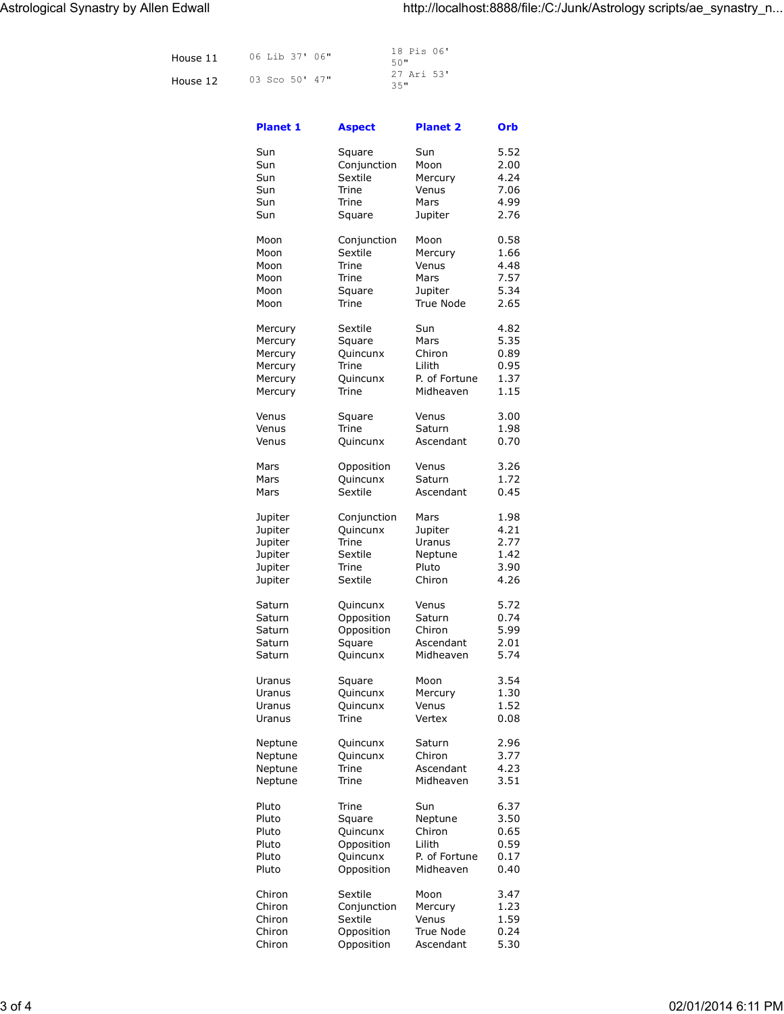| House 11 | 06 Lib 37' 06" | 18 Pis 06'<br>50" |
|----------|----------------|-------------------|
| House 12 | 03 Sco 50' 47" | 27 Ari 53'<br>35" |

| <b>Planet 1</b> | <b>Aspect</b> | <b>Planet 2</b> | Orb  |
|-----------------|---------------|-----------------|------|
| Sun             | Square        | Sun             | 5.52 |
| Sun             | Conjunction   | Moon            | 2.00 |
| Sun             | Sextile       | Mercury         | 4.24 |
| Sun             | Trine         | Venus           | 7.06 |
|                 |               |                 |      |
| Sun             | Trine         | Mars            | 4.99 |
| Sun             | Square        | Jupiter         | 2.76 |
| Moon            | Conjunction   | Moon            | 0.58 |
| Moon            | Sextile       | Mercury         | 1.66 |
| Moon            | Trine         | Venus           | 4.48 |
| Moon            | Trine         | Mars            | 7.57 |
| Moon            | Square        | Jupiter         | 5.34 |
| Moon            | Trine         | True Node       | 2.65 |
| Mercury         | Sextile       | Sun             | 4.82 |
| Mercury         | Square        | Mars            | 5.35 |
| Mercury         | Quincunx      | Chiron          | 0.89 |
| Mercury         | Trine         | Lilith          | 0.95 |
| Mercury         | Quincunx      | P. of Fortune   | 1.37 |
| Mercury         | Trine         | Midheaven       | 1.15 |
|                 |               |                 |      |
| Venus           | Square        | Venus           | 3.00 |
| Venus           | Trine         | Saturn          | 1.98 |
| Venus           | Quincunx      | Ascendant       | 0.70 |
| Mars            | Opposition    | Venus           | 3.26 |
| Mars            | Quincunx      | Saturn          | 1.72 |
| Mars            | Sextile       | Ascendant       | 0.45 |
| Jupiter         | Conjunction   | Mars            | 1.98 |
| Jupiter         | Quincunx      | Jupiter         | 4.21 |
| Jupiter         | Trine         | Uranus          | 2.77 |
| Jupiter         | Sextile       | Neptune         | 1.42 |
| Jupiter         | Trine         | Pluto           | 3.90 |
| Jupiter         | Sextile       | Chiron          | 4.26 |
| Saturn          | Quincunx      | Venus           | 5.72 |
| Saturn          | Opposition    | Saturn          | 0.74 |
|                 |               |                 | 5.99 |
| Saturn          | Opposition    | Chiron          | 2.01 |
| Saturn          | Square        | Ascendant       |      |
| Saturn          | Quincunx      | Midheaven       | 5.74 |
| Uranus          | Square        | Moon            | 3.54 |
| Uranus          | Quincunx      | Mercury         | 1.30 |
| Uranus          | Quincunx      | Venus           | 1.52 |
| Uranus          | Trine         | Vertex          | 0.08 |
| Neptune         | Quincunx      | Saturn          | 2.96 |
| Neptune         | Quincunx      | Chiron          | 3.77 |
| Neptune         | Trine         | Ascendant       | 4.23 |
| Neptune         | Trine         | Midheaven       | 3.51 |
| Pluto           | Trine         | Sun             | 6.37 |
| Pluto           | Square        | Neptune         | 3.50 |
| Pluto           | Quincunx      | Chiron          | 0.65 |
| Pluto           | Opposition    | Lilith          | 0.59 |
| Pluto           | Quincunx      | P. of Fortune   | 0.17 |
| Pluto           | Opposition    | Midheaven       | 0.40 |
| Chiron          | Sextile       | Moon            | 3.47 |
| Chiron          | Conjunction   | Mercury         | 1.23 |
| Chiron          | Sextile       | Venus           | 1.59 |
| Chiron          | Opposition    | True Node       | 0.24 |
| Chiron          | Opposition    | Ascendant       | 5.30 |
|                 |               |                 |      |